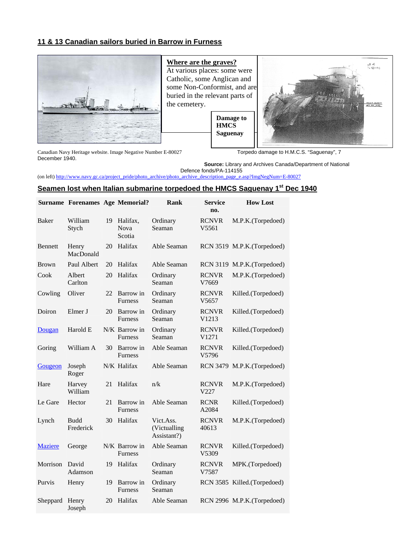## **11 & 13 Canadian sailors buried in Barrow in Furness**



**Where are the graves?**  At various places: some were Catholic, some Anglican and some Non-Conformist, and are buried in the relevant parts of the cemetery.

> **Damage to HMCS Saguenay**



Canadian Navy Heritage website. Image Negative Number E-80027 Torpedo damage to H.M.C.S. "Saguenay", 7 December 1940.

**Source:** Library and Archives Canada/Department of National Defence fonds/PA-114155

(on left) http://www.navy.gc.ca/project\_pride/photo\_archive/photo\_archive\_description\_page\_e.asp?ImgNegNum=E-80027

## **Seamen lost when Italian submarine torpedoed the HMCS Saguenay 1st Dec 1940**

|                | <b>Surname Forenames Age Memorial?</b> |    |                                 | Rank                                     | Service<br>no.        | <b>How Lost</b>             |
|----------------|----------------------------------------|----|---------------------------------|------------------------------------------|-----------------------|-----------------------------|
| Baker          | William<br>Stych                       | 19 | Halifax,<br>Nova<br>Scotia      | Ordinary<br>Seaman                       | <b>RCNVR</b><br>V5561 | M.P.K.(Torpedoed)           |
| <b>Bennett</b> | Henry<br>MacDonald                     | 20 | Halifax                         | Able Seaman                              |                       | RCN 3519 M.P.K.(Torpedoed)  |
| <b>Brown</b>   | Paul Albert                            | 20 | Halifax                         | Able Seaman                              |                       | RCN 3119 M.P.K.(Torpedoed)  |
| Cook           | Albert<br>Carlton                      | 20 | Halifax                         | Ordinary<br>Seaman                       | <b>RCNVR</b><br>V7669 | M.P.K.(Torpedoed)           |
| Cowling        | Oliver                                 | 22 | Barrow in<br><b>Furness</b>     | Ordinary<br>Seaman                       | <b>RCNVR</b><br>V5657 | Killed.(Torpedoed)          |
| Doiron         | Elmer J                                | 20 | Barrow in<br><b>Furness</b>     | Ordinary<br>Seaman                       | <b>RCNVR</b><br>V1213 | Killed.(Torpedoed)          |
| Dougan         | Harold E                               |    | N/K Barrow in<br>Furness        | Ordinary<br>Seaman                       | <b>RCNVR</b><br>V1271 | Killed.(Torpedoed)          |
| Goring         | William A                              | 30 | Barrow in<br><b>Furness</b>     | Able Seaman                              | <b>RCNVR</b><br>V5796 | Killed.(Torpedoed)          |
| Gougeon        | Joseph<br>Roger                        |    | N/K Halifax                     | Able Seaman                              |                       | RCN 3479 M.P.K.(Torpedoed)  |
| Hare           | Harvey<br>William                      | 21 | Halifax                         | n/k                                      | <b>RCNVR</b><br>V227  | M.P.K.(Torpedoed)           |
| Le Gare        | Hector                                 | 21 | Barrow in<br><b>Furness</b>     | Able Seaman                              | <b>RCNR</b><br>A2084  | Killed.(Torpedoed)          |
| Lynch          | <b>Budd</b><br>Frederick               | 30 | Halifax                         | Vict.Ass.<br>(Victualling<br>Assistant?) | <b>RCNVR</b><br>40613 | M.P.K.(Torpedoed)           |
| <b>Maziere</b> | George                                 |    | N/K Barrow in<br><b>Furness</b> | Able Seaman                              | <b>RCNVR</b><br>V5309 | Killed.(Torpedoed)          |
| Morrison       | David<br>Adamson                       | 19 | Halifax                         | Ordinary<br>Seaman                       | <b>RCNVR</b><br>V7587 | MPK.(Torpedoed)             |
| Purvis         | Henry                                  | 19 | Barrow in<br><b>Furness</b>     | Ordinary<br>Seaman                       |                       | RCN 3585 Killed.(Torpedoed) |
| Sheppard       | Henry<br>Joseph                        | 20 | Halifax                         | Able Seaman                              |                       | RCN 2996 M.P.K.(Torpedoed)  |